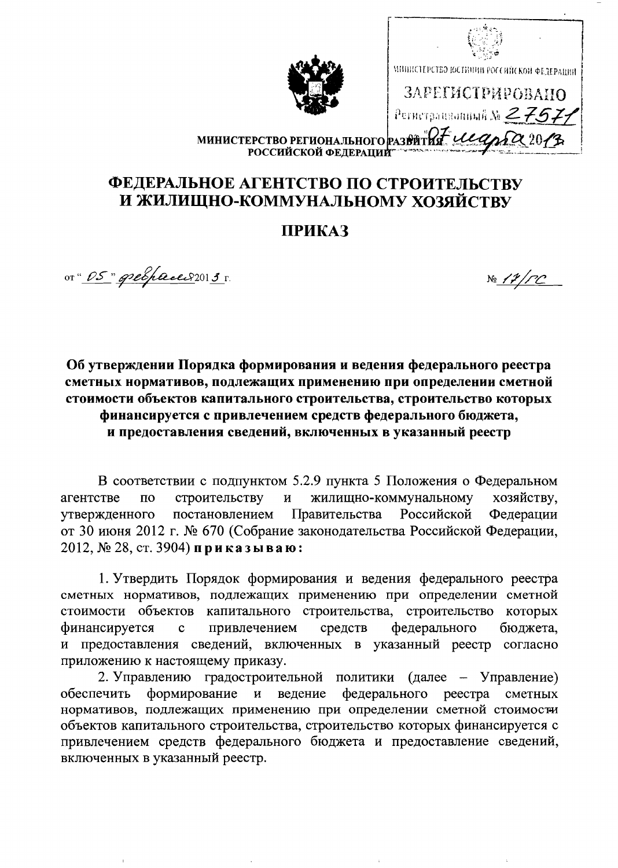| МИНИСТЕРСТВО РЕГИОНАЛЬНОГО РАЗ<br>РОССИЙСКОЙ ФЕДЕРАЦИИ | МИВИСТЕРСТВО ЮСТИПИИ РОССИЙСКОЙ ФЕДЕРАЦИИ<br>ЗАРЕГИСТРИРОВАНО |
|--------------------------------------------------------|---------------------------------------------------------------|
|                                                        | Регистрационный $\mathbb{N}$ 275.<br>20/3                     |

## ФЕДЕРАЛЬНОЕ АГЕНТСТВО ПО СТРОИТЕЛЬСТВУ И ЖИЛИЩНО-КОММУНАЛЬНОМУ ХОЗЯЙСТВУ

## **ПРИКАЗ**

от" <u>OS "дребрассе 82013</u> г.

 $N<sub>2</sub>$  /  $\mathcal{V}/\mathcal{PC}$ 

Об утверждении Порядка формирования и ведения федерального реестра сметных нормативов, подлежащих применению при определении сметной стоимости объектов капитального строительства, строительство которых финансируется с привлечением средств федерального бюджета, и предоставления сведений, включенных в указанный реестр

В соответствии с подпунктом 5.2.9 пункта 5 Положения о Федеральном жилищно-коммунальному агентстве строительству  $\mathbf{M}$ хозяйству,  $\overline{a}$ Правительства Российской утвержденного постановлением Федерации от 30 июня 2012 г. № 670 (Собрание законодательства Российской Федерации,  $2012$ , № 28, ст. 3904) приказываю:

1. Утвердить Порядок формирования и ведения федерального реестра сметных нормативов, подлежащих применению при определении сметной стоимости объектов капитального строительства, строительство которых финансируется привлечением средств федерального бюджета,  $\mathbf{c}$ и предоставления сведений, включенных в указанный реестр согласно приложению к настоящему приказу.

2. Управлению градостроительной политики (далее - Управление) формирование и ведение федерального реестра сметных обеспечить нормативов, подлежащих применению при определении сметной стоимости объектов капитального строительства, строительство которых финансируется с привлечением средств федерального бюджета и предоставление сведений, включенных в указанный реестр.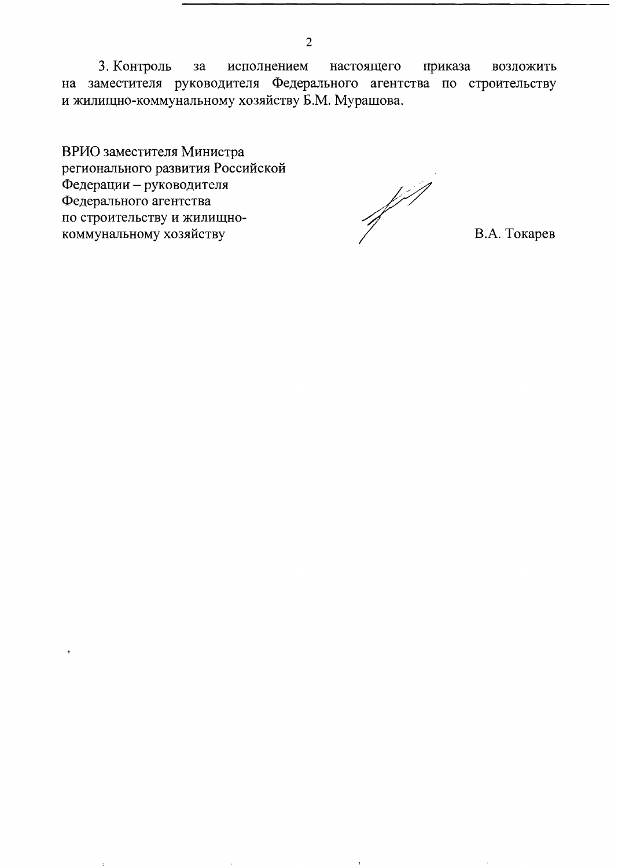3. Контроль  $3a$ исполнением настоящего приказа возложить на заместителя руководителя Федерального агентства по строительству и жилищно-коммунальному хозяйству Б.М. Мурашова.

ВРИО заместителя Министра регионального развития Российской Федерации - руководителя Федерального агентства по строительству и жилищнокоммунальному хозяйству

of the Seat of the Seat of the Seat of the Seat of the Seat of the Seat of the Seat of the Seat of the Seat of<br>All of the Seat of the Seat of the Seat of the Seat of the Seat of the Seat of the Seat of the Seat of the Sea

В.А. Токарев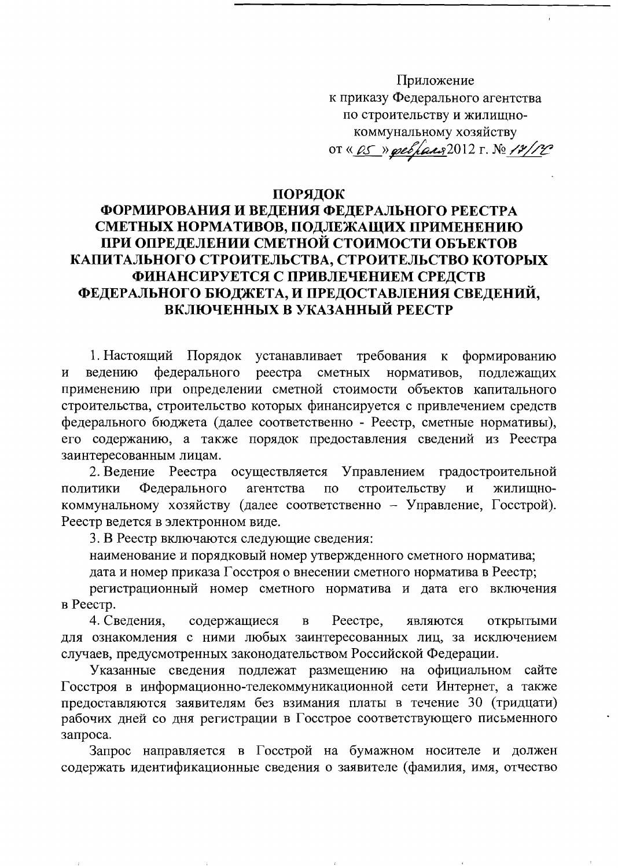Приложение к приказу Федерального агентства по строительству и жилищнокоммунальному хозяйству OT « <u>OS » pressaus</u> 2012 г. № 12/12

## ПОРЯДОК

## ФОРМИРОВАНИЯ И ВЕДЕНИЯ ФЕДЕРАЛЬНОГО РЕЕСТРА СМЕТНЫХ НОРМАТИВОВ, ПОДЛЕЖАЩИХ ПРИМЕНЕНИЮ ПРИ ОПРЕДЕЛЕНИИ СМЕТНОЙ СТОИМОСТИ ОБЪЕКТОВ КАПИТАЛЬНОГО СТРОИТЕЛЬСТВА, СТРОИТЕЛЬСТВО КОТОРЫХ ФИНАНСИРУЕТСЯ С ПРИВЛЕЧЕНИЕМ СРЕДСТВ ФЕДЕРАЛЬНОГО БЮДЖЕТА, И ПРЕДОСТАВЛЕНИЯ СВЕДЕНИЙ, ВКЛЮЧЕННЫХ В УКАЗАННЫЙ РЕЕСТР

1. Настоящий Порядок устанавливает требования  $\bf K$ формированию федерального реестра сметных нормативов, ведению подлежащих  $\mathbf{M}$ применению при определении сметной стоимости объектов капитального строительства, строительство которых финансируется с привлечением средств федерального бюджета (далее соответственно - Реестр, сметные нормативы), его содержанию, а также порядок предоставления сведений из Реестра заинтересованным лицам.

2. Ведение Реестра осуществляется Управлением градостроительной Федерального агентства  $\overline{10}$ строительству политики  $\overline{\mathbf{M}}$ жилишнокоммунальному хозяйству (далее соответственно - Управление, Госстрой). Реестр ведется в электронном виде.

3. В Реестр включаются следующие сведения:

наименование и порядковый номер утвержденного сметного норматива;

дата и номер приказа Госстроя о внесении сметного норматива в Реестр;

регистрационный номер сметного норматива и дата его включения в Реестр.

4. Сведения, содержащиеся Peecrpe,  $\mathbf{B}$ являются открытыми для ознакомления с ними любых заинтересованных лиц, за исключением случаев, предусмотренных законодательством Российской Федерации.

Указанные сведения подлежат размещению на официальном сайте Госстроя в информационно-телекоммуникационной сети Интернет, а также предоставляются заявителям без взимания платы в течение 30 (тридцати) рабочих дней со дня регистрации в Госстрое соответствующего письменного запроса.

Запрос направляется в Госстрой на бумажном носителе и должен содержать идентификационные сведения о заявителе (фамилия, имя, отчество